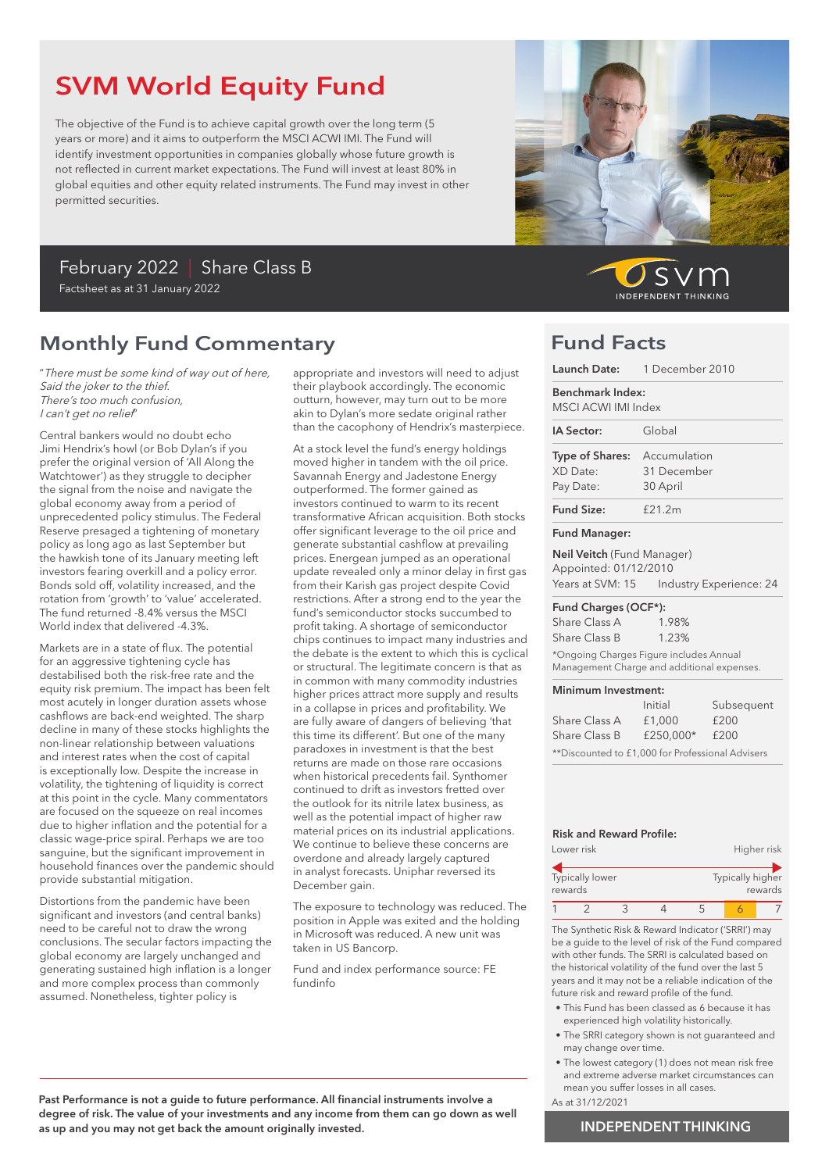# SVM World Equity Fund

The objective of the Fund is to achieve capital growth over the long term (5 years or more) and it aims to outperform the MSCI ACWI IMI. The Fund will identify investment opportunities in companies globally whose future growth is not reflected in current market expectations. The Fund will invest at least 80% in global equities and other equity related instruments. The Fund may invest in other permitted securities.

### February 2022 | Share Class B Factsheet as at 31 January 2022

# Monthly Fund Commentary

"There must be some kind of way out of here, Said the joker to the thief. There's too much confusion, I can't get no relief"

Central bankers would no doubt echo Jimi Hendrix's howl (or Bob Dylan's if you prefer the original version of 'All Along the Watchtower') as they struggle to decipher the signal from the noise and navigate the global economy away from a period of unprecedented policy stimulus. The Federal Reserve presaged a tightening of monetary policy as long ago as last September but the hawkish tone of its January meeting left investors fearing overkill and a policy error. Bonds sold off, volatility increased, and the rotation from 'growth' to 'value' accelerated. The fund returned -8.4% versus the MSCI World index that delivered -4.3%.

Markets are in a state of flux. The potential for an aggressive tightening cycle has destabilised both the risk-free rate and the equity risk premium. The impact has been felt most acutely in longer duration assets whose cashflows are back-end weighted. The sharp decline in many of these stocks highlights the non-linear relationship between valuations and interest rates when the cost of capital is exceptionally low. Despite the increase in volatility, the tightening of liquidity is correct at this point in the cycle. Many commentators are focused on the squeeze on real incomes due to higher inflation and the potential for a classic wage-price spiral. Perhaps we are too sanguine, but the significant improvement in household finances over the pandemic should provide substantial mitigation.

Distortions from the pandemic have been significant and investors (and central banks) need to be careful not to draw the wrong conclusions. The secular factors impacting the global economy are largely unchanged and generating sustained high inflation is a longer and more complex process than commonly assumed. Nonetheless, tighter policy is

appropriate and investors will need to adjust their playbook accordingly. The economic outturn, however, may turn out to be more akin to Dylan's more sedate original rather than the cacophony of Hendrix's masterpiece.

At a stock level the fund's energy holdings moved higher in tandem with the oil price. Savannah Energy and Jadestone Energy outperformed. The former gained as investors continued to warm to its recent transformative African acquisition. Both stocks offer significant leverage to the oil price and generate substantial cashflow at prevailing prices. Energean jumped as an operational update revealed only a minor delay in first gas from their Karish gas project despite Covid restrictions. After a strong end to the year the fund's semiconductor stocks succumbed to profit taking. A shortage of semiconductor chips continues to impact many industries and the debate is the extent to which this is cyclical or structural. The legitimate concern is that as in common with many commodity industries higher prices attract more supply and results in a collapse in prices and profitability. We are fully aware of dangers of believing 'that this time its different'. But one of the many paradoxes in investment is that the best returns are made on those rare occasions when historical precedents fail. Synthomer continued to drift as investors fretted over the outlook for its nitrile latex business, as well as the potential impact of higher raw material prices on its industrial applications. We continue to believe these concerns are overdone and already largely captured in analyst forecasts. Uniphar reversed its December gain.

The exposure to technology was reduced. The position in Apple was exited and the holding in Microsoft was reduced. A new unit was taken in US Bancorp.

Fund and index performance source: FE fundinfo



Jsvm **INDEPENDENT THINKING** 

### Fund Facts

| Launch Date:                                                                          | 1 December 2010 |                         |  |
|---------------------------------------------------------------------------------------|-----------------|-------------------------|--|
| Benchmark Index:<br>MSCI ACWI IMI Index                                               |                 |                         |  |
| IA Sector:                                                                            | Global          |                         |  |
| <b>Type of Shares:</b>                                                                | Accumulation    |                         |  |
| XD Date:                                                                              | 31 December     |                         |  |
| Pay Date:                                                                             | 30 April        |                         |  |
| <b>Fund Size:</b>                                                                     | f21.2m          |                         |  |
| <b>Fund Manager:</b>                                                                  |                 |                         |  |
| Neil Veitch (Fund Manager)<br>Appointed: 01/12/2010                                   |                 |                         |  |
| Years at SVM: 15                                                                      |                 | Industry Experience: 24 |  |
| Fund Charges (OCF*):                                                                  |                 |                         |  |
| Share Class A                                                                         | 1.98%           |                         |  |
| Share Class B                                                                         | 1.23%           |                         |  |
| *Ongoing Charges Figure includes Annual<br>Management Charge and additional expenses. |                 |                         |  |
| Minimum Investment:                                                                   |                 |                         |  |
|                                                                                       | Initial         | Subsequent              |  |
| Share Class A                                                                         | £1,000          | £200                    |  |

\*\*Discounted to £1,000 for Professional Advisers

### Risk and Reward Profile:

|         | Lower risk      |  |                  | Higher risk |
|---------|-----------------|--|------------------|-------------|
| rewards | Typically lower |  | Typically higher | rewards     |
|         |                 |  |                  |             |

The Synthetic Risk & Reward Indicator ('SRRI') may be a guide to the level of risk of the Fund compared with other funds. The SRRI is calculated based on the historical volatility of the fund over the last 5 years and it may not be a reliable indication of the future risk and reward profile of the fund.

- This Fund has been classed as 6 because it has experienced high volatility historically.
- The SRRI category shown is not guaranteed and may change over time.
- The lowest category (1) does not mean risk free and extreme adverse market circumstances can mean you suffer losses in all cases.
- As at 31/12/2021

### Past Performance is not a guide to future performance. All financial instruments involve a degree of risk. The value of your investments and any income from them can go down as well as up and you may not get back the amount originally invested.

### INDEPENDENT THINKING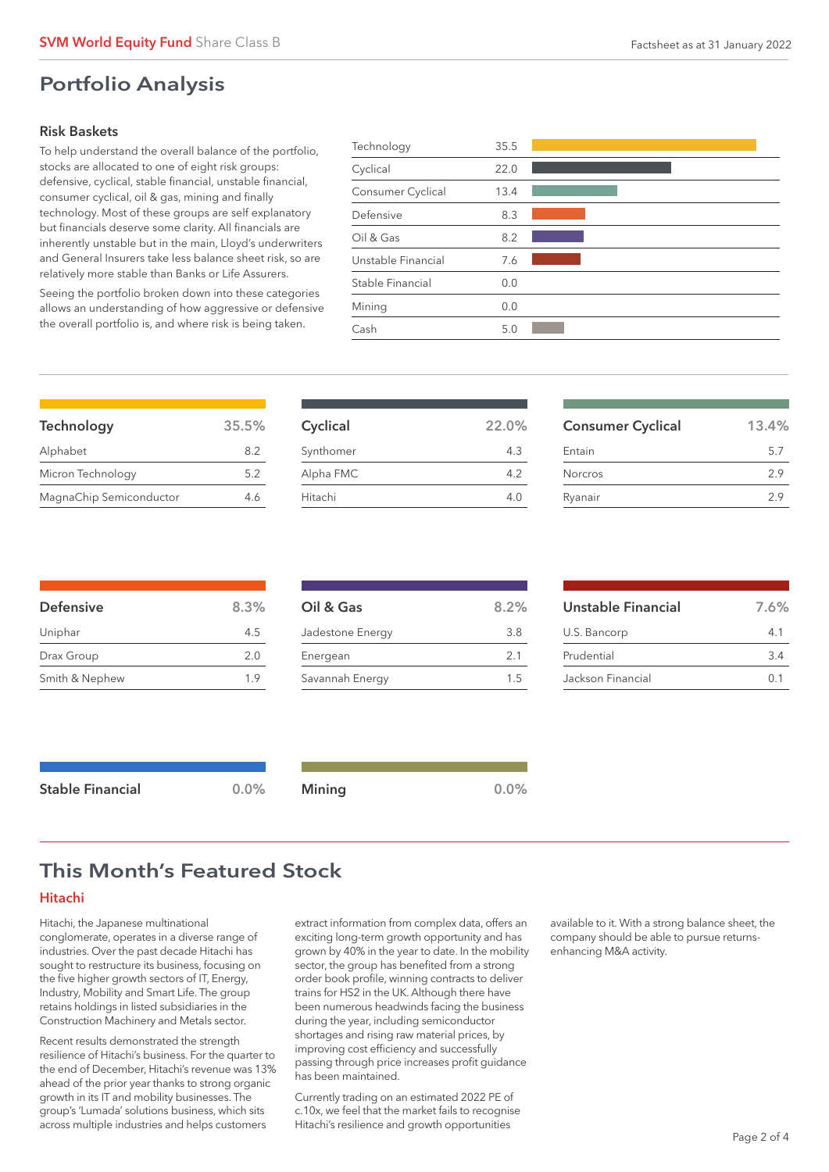# Portfolio Analysis

### Risk Baskets

To help understand the overall balance of the portfolio, stocks are allocated to one of eight risk groups: defensive, cyclical, stable financial, unstable financial, consumer cyclical, oil & gas, mining and finally technology. Most of these groups are self explanatory but financials deserve some clarity. All financials are inherently unstable but in the main, Lloyd's underwriters and General Insurers take less balance sheet risk, so are relatively more stable than Banks or Life Assurers.

Seeing the portfolio broken down into these categories allows an understanding of how aggressive or defensive the overall portfolio is, and where risk is being taken.

| Technology         | 35.5 |  |
|--------------------|------|--|
| Cyclical           | 22.0 |  |
| Consumer Cyclical  | 13.4 |  |
| Defensive          | 8.3  |  |
| Oil & Gas          | 8.2  |  |
| Unstable Financial | 7.6  |  |
| Stable Financial   | 0.0  |  |
| Mining             | 0.0  |  |
| Cash               | 5.0  |  |
|                    |      |  |

| Technology              | 35.5% |
|-------------------------|-------|
| Alphabet                | 8.2   |
| Micron Technology       | 5.2   |
| MagnaChip Semiconductor | 46    |

| Cyclical  | 22.0% |
|-----------|-------|
| Synthomer | 43    |
| Alpha FMC | 4.2   |
| Hitachi   | 4.0   |

| <b>Consumer Cyclical</b> | 13.4% |
|--------------------------|-------|
| Entain                   | 5.7   |
| Norcros                  | 29    |
| Ryanair                  | 29    |
|                          |       |

| <b>Defensive</b> | 8.3% |
|------------------|------|
| Uniphar          | 4.5  |
| Drax Group       | 2.0  |
| Smith & Nephew   | 19   |

| Oil & Gas        | 8.2% |
|------------------|------|
| Jadestone Energy | 3.8  |
| Energean         | 2.1  |
| Savannah Energy  | 1.5  |
|                  |      |

| Unstable Financial | 1.07 |
|--------------------|------|
| U.S. Bancorp       | 4.1  |
| Prudential         | 34   |
| Jackson Financial  | 0.1  |
|                    |      |

Unstable Financial 7.6%

| <b>Stable Financial</b> | $0.0\%$ | <b>Mining</b> | 0.0% |
|-------------------------|---------|---------------|------|
|                         |         |               |      |

# This Month's Featured Stock

### Hitachi

Hitachi, the Japanese multinational conglomerate, operates in a diverse range of industries. Over the past decade Hitachi has sought to restructure its business, focusing on the five higher growth sectors of IT, Energy, Industry, Mobility and Smart Life. The group retains holdings in listed subsidiaries in the Construction Machinery and Metals sector.

Recent results demonstrated the strength resilience of Hitachi's business. For the quarter to the end of December, Hitachi's revenue was 13% ahead of the prior year thanks to strong organic growth in its IT and mobility businesses. The group's 'Lumada' solutions business, which sits across multiple industries and helps customers

extract information from complex data, offers an exciting long-term growth opportunity and has grown by 40% in the year to date. In the mobility sector, the group has benefited from a strong order book profile, winning contracts to deliver trains for HS2 in the UK. Although there have been numerous headwinds facing the business during the year, including semiconductor shortages and rising raw material prices, by improving cost efficiency and successfully passing through price increases profit guidance has been maintained.

Currently trading on an estimated 2022 PE of c.10x, we feel that the market fails to recognise Hitachi's resilience and growth opportunities

available to it. With a strong balance sheet, the company should be able to pursue returnsenhancing M&A activity.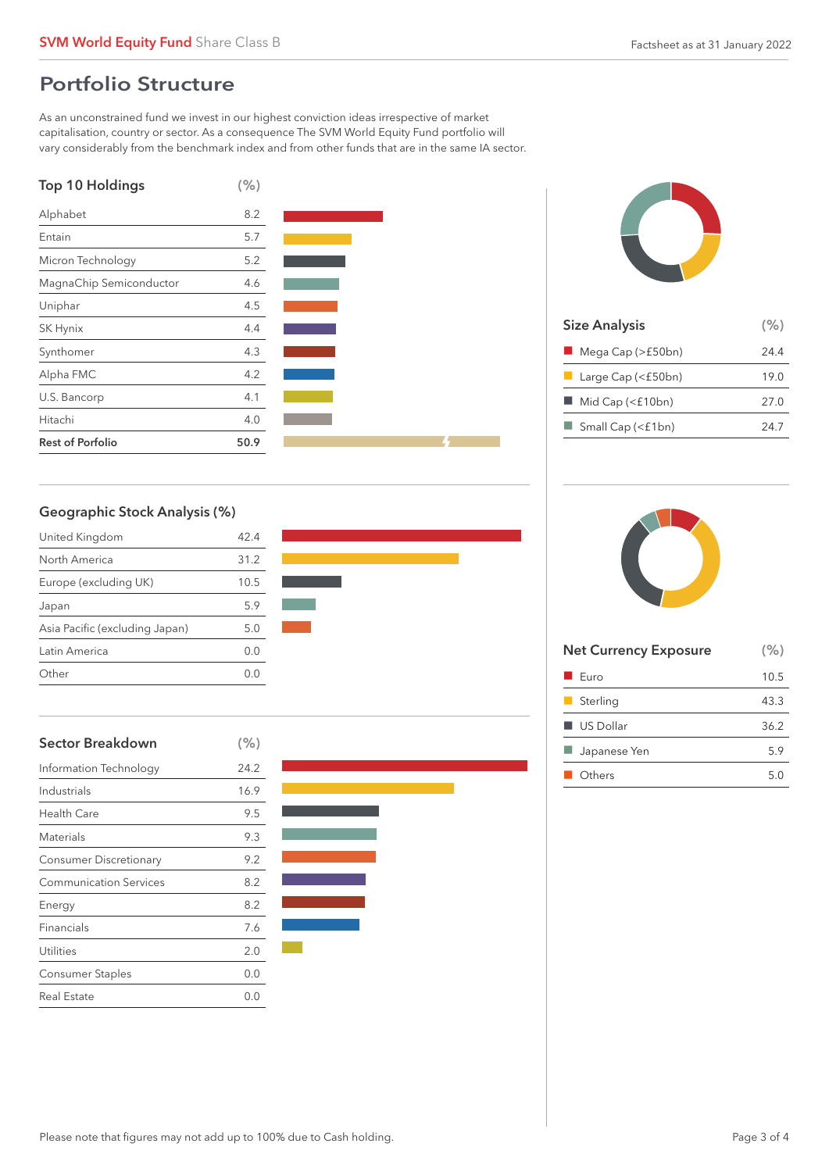## Portfolio Structure

As an unconstrained fund we invest in our highest conviction ideas irrespective of market capitalisation, country or sector. As a consequence The SVM World Equity Fund portfolio will vary considerably from the benchmark index and from other funds that are in the same IA sector.







| <b>Size Analysis</b>             | (% ) |
|----------------------------------|------|
| $\blacksquare$ Mega Cap (>£50bn) | 244  |
| $\Box$ Large Cap (<£50bn)        | 19.0 |
| $\blacksquare$ Mid Cap (<£10bn)  | 27.0 |
| $\blacksquare$ Small Cap (<£1bn) | 24.7 |
|                                  |      |

### Geographic Stock Analysis (%)

| United Kingdom                 | 42.4 |
|--------------------------------|------|
| North America                  | 31.2 |
| Europe (excluding UK)          | 10.5 |
| Japan                          | 59   |
| Asia Pacific (excluding Japan) | 5.0  |
| Latin America                  | O.O  |
| ∩ther                          |      |







| <b>Net Currency Exposure</b> | (% ) |
|------------------------------|------|
| $\blacksquare$ Furo          | 10.5 |
| Sterling                     | 43.3 |
| $\blacksquare$ US Dollar     | 36.2 |
| Japanese Yen                 | 5.9  |
| Others                       | 50   |
|                              |      |